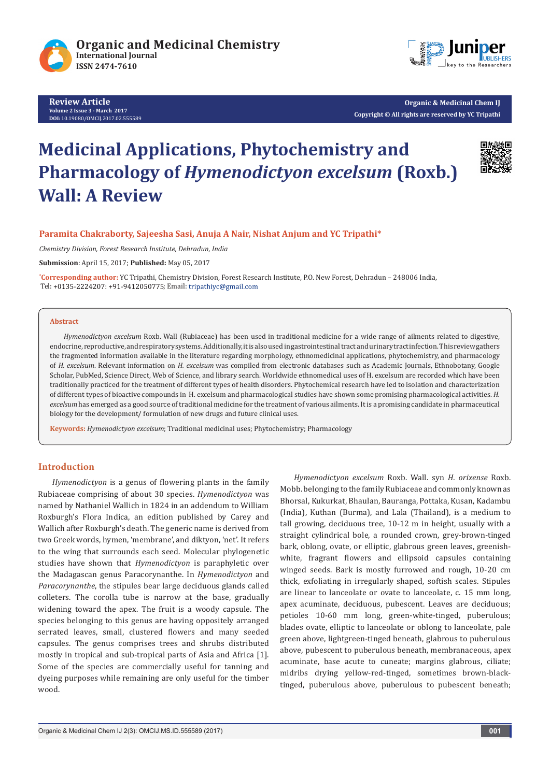

**Review Article Volume 2 Issue 3 - March 2017 DOI:** [10.19080/OMCIJ.2017.02.555589](http://10.19080/OMCIJ.2017.02.555589)



**Organic & Medicinal Chem IJ Copyright © All rights are reserved by YC Tripathi**

# **Medicinal Applications, Phytochemistry and Pharmacology of** *Hymenodictyon excelsum* **(Roxb.) Wall: A Review**



# **Paramita Chakraborty, Sajeesha Sasi, Anuja A Nair, Nishat Anjum and YC Tripathi\***

*Chemistry Division, Forest Research Institute, Dehradun, India*

**Submission**: April 15, 2017; **Published:** May 05, 2017

**\* Corresponding author:** YC Tripathi, Chemistry Division, Forest Research Institute, P.O. New Forest, Dehradun – 248006 India, Tel: +0135-2224207: +91-9412050775; Email: tripathiyc@gmail.com

#### **Abstract**

*Hymenodictyon excelsum* Roxb. Wall (Rubiaceae) has been used in traditional medicine for a wide range of ailments related to digestive, endocrine, reproductive, and respiratory systems. Additionally, it is also used in gastrointestinal tract and urinary tract infection. This review gathers the fragmented information available in the literature regarding morphology, ethnomedicinal applications, phytochemistry, and pharmacology of *H. excelsum*. Relevant information on *H. excelsum* was compiled from electronic databases such as Academic Journals, Ethnobotany, Google Scholar, PubMed, Science Direct, Web of Science, and library search. Worldwide ethnomedical uses of H. excelsum are recorded which have been traditionally practiced for the treatment of different types of health disorders. Phytochemical research have led to isolation and characterization of different types of bioactive compounds in H. excelsum and pharmacological studies have shown some promising pharmacological activities. *H. excelsum* has emerged as a good source of traditional medicine for the treatment of various ailments. It is a promising candidate in pharmaceutical biology for the development/ formulation of new drugs and future clinical uses.

**Keywords:** *Hymenodictyon excelsum*; Traditional medicinal uses; Phytochemistry; Pharmacology

#### **Introduction**

*Hymenodictyon* is a genus of flowering plants in the family Rubiaceae comprising of about 30 species. *Hymenodictyon* was named by Nathaniel Wallich in 1824 in an addendum to William Roxburgh's Flora Indica, an edition published by Carey and Wallich after Roxburgh's death. The generic name is derived from two Greek words, hymen, 'membrane', and diktyon, 'net'. It refers to the wing that surrounds each seed. Molecular phylogenetic studies have shown that *Hymenodictyon* is paraphyletic over the Madagascan genus Paracorynanthe. In *Hymenodictyon* and *Paracorynanthe*, the stipules bear large deciduous glands called colleters. The corolla tube is narrow at the base, gradually widening toward the apex. The fruit is a woody capsule. The species belonging to this genus are having oppositely arranged serrated leaves, small, clustered flowers and many seeded capsules. The genus comprises trees and shrubs distributed mostly in tropical and sub-tropical parts of Asia and Africa [1]. Some of the species are commercially useful for tanning and dyeing purposes while remaining are only useful for the timber wood.

*Hymenodictyon excelsum* Roxb. Wall. syn *H. orixense* Roxb. Mobb. belonging to the family Rubiaceae and commonly known as Bhorsal, Kukurkat, Bhaulan, Bauranga, Pottaka, Kusan, Kadambu (India), Kuthan (Burma), and Lala (Thailand), is a medium to tall growing, deciduous tree, 10-12 m in height, usually with a straight cylindrical bole, a rounded crown, grey-brown-tinged bark, oblong, ovate, or elliptic, glabrous green leaves, greenishwhite, fragrant flowers and ellipsoid capsules containing winged seeds. Bark is mostly furrowed and rough, 10-20 cm thick, exfoliating in irregularly shaped, softish scales. Stipules are linear to lanceolate or ovate to lanceolate, c. 15 mm long, apex acuminate, deciduous, pubescent. Leaves are deciduous; petioles 10-60 mm long, green-white-tinged, puberulous; blades ovate, elliptic to lanceolate or oblong to lanceolate, pale green above, lightgreen-tinged beneath, glabrous to puberulous above, pubescent to puberulous beneath, membranaceous, apex acuminate, base acute to cuneate; margins glabrous, ciliate; midribs drying yellow-red-tinged, sometimes brown-blacktinged, puberulous above, puberulous to pubescent beneath;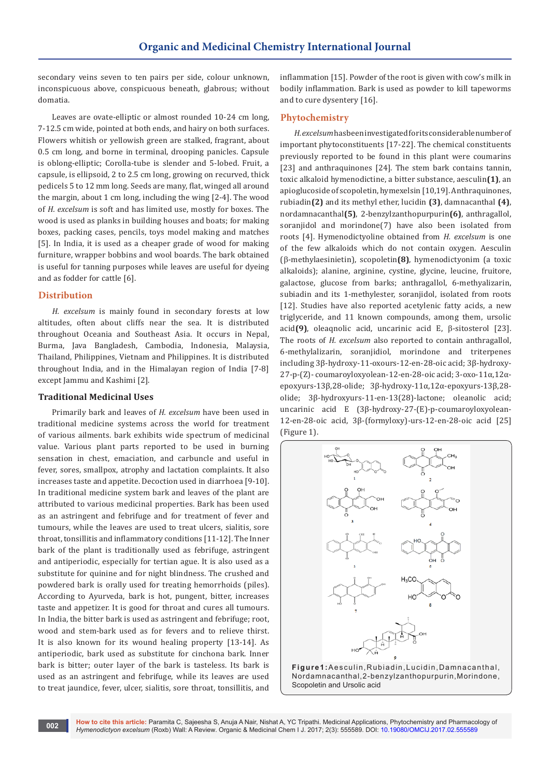secondary veins seven to ten pairs per side, colour unknown, inconspicuous above, conspicuous beneath, glabrous; without domatia.

Leaves are ovate-elliptic or almost rounded 10-24 cm long, 7-12.5 cm wide, pointed at both ends, and hairy on both surfaces. Flowers whitish or yellowish green are stalked, fragrant, about 0.5 cm long, and borne in terminal, drooping panicles. Capsule is oblong-elliptic; Corolla-tube is slender and 5-lobed. Fruit, a capsule, is ellipsoid, 2 to 2.5 cm long, growing on recurved, thick pedicels 5 to 12 mm long. Seeds are many, flat, winged all around the margin, about 1 cm long, including the wing [2-4]. The wood of *H. excelsum* is soft and has limited use, mostly for boxes. The wood is used as planks in building houses and boats; for making boxes, packing cases, pencils, toys model making and matches [5]. In India, it is used as a cheaper grade of wood for making furniture, wrapper bobbins and wool boards. The bark obtained is useful for tanning purposes while leaves are useful for dyeing and as fodder for cattle [6].

# **Distribution**

*H. excelsum* is mainly found in secondary forests at low altitudes, often about cliffs near the sea. It is distributed throughout Oceania and Southeast Asia. It occurs in Nepal, Burma, Java Bangladesh, Cambodia, Indonesia, Malaysia, Thailand, Philippines, Vietnam and Philippines. It is distributed throughout India, and in the Himalayan region of India [7-8] except Jammu and Kashimi [2].

#### **Traditional Medicinal Uses**

Primarily bark and leaves of *H. excelsum* have been used in traditional medicine systems across the world for treatment of various ailments. bark exhibits wide spectrum of medicinal value. Various plant parts reported to be used in burning sensation in chest, emaciation, and carbuncle and useful in fever, sores, smallpox, atrophy and lactation complaints. It also increases taste and appetite. Decoction used in diarrhoea [9-10]. In traditional medicine system bark and leaves of the plant are attributed to various medicinal properties. Bark has been used as an astringent and febrifuge and for treatment of fever and tumours, while the leaves are used to treat ulcers, sialitis, sore throat, tonsillitis and inflammatory conditions [11-12]. The Inner bark of the plant is traditionally used as febrifuge, astringent and antiperiodic, especially for tertian ague. It is also used as a substitute for quinine and for night blindness. The crushed and powdered bark is orally used for treating hemorrhoids (piles). According to Ayurveda, bark is hot, pungent, bitter, increases taste and appetizer. It is good for throat and cures all tumours. In India, the bitter bark is used as astringent and febrifuge; root, wood and stem-bark used as for fevers and to relieve thirst. It is also known for its wound healing property [13-14]. As antiperiodic, bark used as substitute for cinchona bark. Inner bark is bitter; outer layer of the bark is tasteless. Its bark is used as an astringent and febrifuge, while its leaves are used to treat jaundice, fever, ulcer, sialitis, sore throat, tonsillitis, and

inflammation [15]. Powder of the root is given with cow's milk in bodily inflammation. Bark is used as powder to kill tapeworms and to cure dysentery [16].

# **Phytochemistry**

*H. excelsum* has been investigated for its considerable number of important phytoconstituents [17-22]. The chemical constituents previously reported to be found in this plant were coumarins [23] and anthraquinones [24]. The stem bark contains tannin, toxic alkaloid hymenodictine, a bitter substance, aesculin**(1)**, an apioglucoside of scopoletin, hymexelsin [10,19]. Anthraquinones, rubiadin**(2)** and its methyl ether, lucidin **(3)**, damnacanthal **(4)**, nordamnacanthal**(5)**, 2-benzylzanthopurpurin**(6)**, anthragallol, soranjidol and morindone(7) have also been isolated from roots [4]. Hymenodictyoline obtained from *H. excelsum* is one of the few alkaloids which do not contain oxygen. Aesculin (b-methylaesinietin), scopoletin**(8)**, hymenodictyonim (a toxic alkaloids); alanine, arginine, cystine, glycine, leucine, fruitore, galactose, glucose from barks; anthragallol, 6-methyalizarin, subiadin and its 1-methylester, soranjidol, isolated from roots [12]. Studies have also reported acetylenic fatty acids, a new triglyceride, and 11 known compounds, among them, ursolic acid(9), oleaqnolic acid, uncarinic acid E,  $\beta$ -sitosterol [23]. The roots of *H. excelsum* also reported to contain anthragallol, 6-methylalizarin, soranjidiol, morindone and triterpenes including 3β-hydroxy-11-oxours-12-en-28-oic acid; 3β-hydroxy-27-p-(Z)- coumaroyloxyolean-12-en-28-oic acid; 3-oxo-11α,12αepoxyurs-13β,28-olide; 3β-hydroxy-11α,12α-epoxyurs-13β,28 olide; 3β-hydroxyurs-11-en-13(28)-lactone; oleanolic acid; uncarinic acid E (3β-hydroxy-27-(E)-p-coumaroyloxyolean-12-en-28-oic acid, 3β-(formyloxy)-urs-12-en-28-oic acid [25] (Figure 1).

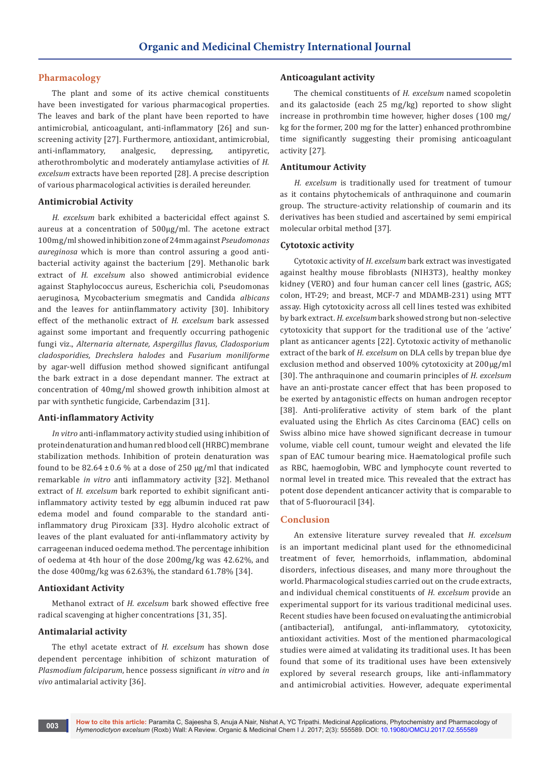# **Pharmacology**

The plant and some of its active chemical constituents have been investigated for various pharmacogical properties. The leaves and bark of the plant have been reported to have antimicrobial, anticoagulant, anti-inflammatory [26] and sunscreening activity [27]. Furthermore, antioxidant, antimicrobial, anti-inflammatory, analgesic, depressing, antipyretic, atherothrombolytic and moderately antiamylase activities of *H. excelsum* extracts have been reported [28]. A precise description of various pharmacological activities is derailed hereunder.

# **Antimicrobial Activity**

*H. excelsum* bark exhibited a bactericidal effect against S. aureus at a concentration of 500μg/ml. The acetone extract 100mg/ml showed inhibition zone of 24mm against *Pseudomonas aureginosa* which is more than control assuring a good antibacterial activity against the bacterium [29]. Methanolic bark extract of *H. excelsum* also showed antimicrobial evidence against Staphylococcus aureus, Escherichia coli, Pseudomonas aeruginosa, Mycobacterium smegmatis and Candida *albicans* and the leaves for antiinflammatory activity [30]. Inhibitory effect of the methanolic extract of *H. excelsum* bark assessed against some important and frequently occurring pathogenic fungi viz., *Alternaria alternate, Aspergillus flavus, Cladosporium cladosporidies, Drechslera halodes* and *Fusarium moniliforme* by agar-well diffusion method showed significant antifungal the bark extract in a dose dependant manner. The extract at concentration of 40mg/ml showed growth inhibition almost at par with synthetic fungicide, Carbendazim [31].

# **Anti-inflammatory Activity**

*In vitro* anti-inflammatory activity studied using inhibition of protein denaturation and human red blood cell (HRBC) membrane stabilization methods. Inhibition of protein denaturation was found to be  $82.64 \pm 0.6$  % at a dose of 250 µg/ml that indicated remarkable *in vitro* anti inflammatory activity [32]. Methanol extract of *H. excelsum* bark reported to exhibit significant antiinflammatory activity tested by egg albumin induced rat paw edema model and found comparable to the standard antiinflammatory drug Piroxicam [33]. Hydro alcoholic extract of leaves of the plant evaluated for anti-inflammatory activity by carrageenan induced oedema method. The percentage inhibition of oedema at 4th hour of the dose 200mg/kg was 42.62%, and the dose 400mg/kg was 62.63%, the standard 61.78% [34].

#### **Antioxidant Activity**

Methanol extract of *H. excelsum* bark showed effective free radical scavenging at higher concentrations [31, 35].

# **Antimalarial activity**

The ethyl acetate extract of *H. excelsum* has shown dose dependent percentage inhibition of schizont maturation of *Plasmodium falciparum*, hence possess significant *in vitro* and *in vivo* antimalarial activity [36].

#### **Anticoagulant activity**

The chemical constituents of *H. excelsum* named scopoletin and its galactoside (each 25 mg/kg) reported to show slight increase in prothrombin time however, higher doses (100 mg/ kg for the former, 200 mg for the latter) enhanced prothrombine time significantly suggesting their promising anticoagulant activity [27].

#### **Antitumour Activity**

*H. excelsum* is traditionally used for treatment of tumour as it contains phytochemicals of anthraquinone and coumarin group. The structure-activity relationship of coumarin and its derivatives has been studied and ascertained by semi empirical molecular orbital method [37].

# **Cytotoxic activity**

Cytotoxic activity of *H. excelsum* bark extract was investigated against healthy mouse fibroblasts (NIH3T3), healthy monkey kidney (VERO) and four human cancer cell lines (gastric, AGS; colon, HT-29; and breast, MCF-7 and MDAMB-231) using MTT assay. High cytotoxicity across all cell lines tested was exhibited by bark extract. *H. excelsum* bark showed strong but non-selective cytotoxicity that support for the traditional use of the 'active' plant as anticancer agents [22]. Cytotoxic activity of methanolic extract of the bark of *H. excelsum* on DLA cells by trepan blue dye exclusion method and observed 100% cytotoxicity at 200μg/ml [30]. The anthraquinone and coumarin principles of *H. excelsum* have an anti-prostate cancer effect that has been proposed to be exerted by antagonistic effects on human androgen receptor [38]. Anti-proliferative activity of stem bark of the plant evaluated using the Ehrlich As cites Carcinoma (EAC) cells on Swiss albino mice have showed significant decrease in tumour volume, viable cell count, tumour weight and elevated the life span of EAC tumour bearing mice. Haematological profile such as RBC, haemoglobin, WBC and lymphocyte count reverted to normal level in treated mice. This revealed that the extract has potent dose dependent anticancer activity that is comparable to that of 5-fluorouracil [34].

#### **Conclusion**

An extensive literature survey revealed that *H. excelsum* is an important medicinal plant used for the ethnomedicinal treatment of fever, hemorrhoids, inflammation, abdominal disorders, infectious diseases, and many more throughout the world. Pharmacological studies carried out on the crude extracts, and individual chemical constituents of *H. excelsum* provide an experimental support for its various traditional medicinal uses. Recent studies have been focused on evaluating the antimicrobial (antibacterial), antifungal, anti-inflammatory, cytotoxicity, antioxidant activities. Most of the mentioned pharmacological studies were aimed at validating its traditional uses. It has been found that some of its traditional uses have been extensively explored by several research groups, like anti-inflammatory and antimicrobial activities. However, adequate experimental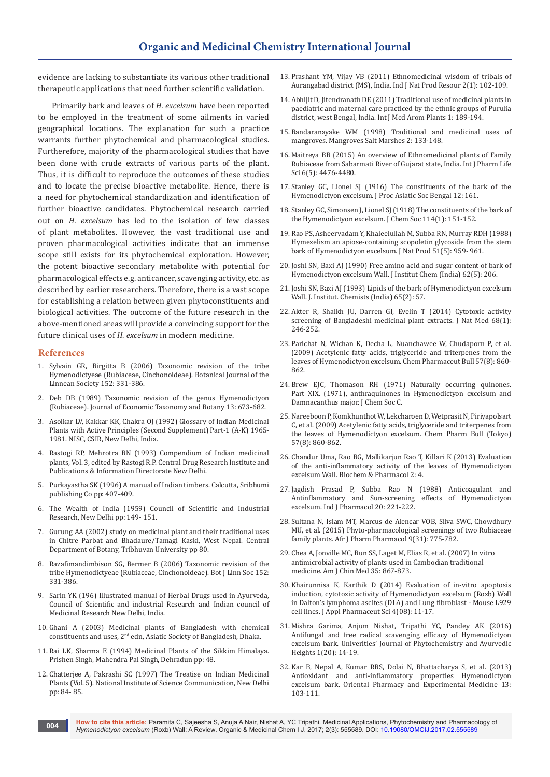evidence are lacking to substantiate its various other traditional therapeutic applications that need further scientific validation.

Primarily bark and leaves of *H. excelsum* have been reported to be employed in the treatment of some ailments in varied geographical locations. The explanation for such a practice warrants further phytochemical and pharmacological studies. Furtherefore, majority of the pharmacological studies that have been done with crude extracts of various parts of the plant. Thus, it is difficult to reproduce the outcomes of these studies and to locate the precise bioactive metabolite. Hence, there is a need for phytochemical standardization and identification of further bioactive candidates. Phytochemical research carried out on *H. excelsum* has led to the isolation of few classes of plant metabolites. However, the vast traditional use and proven pharmacological activities indicate that an immense scope still exists for its phytochemical exploration. However, the potent bioactive secondary metabolite with potential for pharmacological effects e.g. anticancer, scavenging activity, etc. as described by earlier researchers. Therefore, there is a vast scope for establishing a relation between given phytoconstituents and biological activities. The outcome of the future research in the above-mentioned areas will provide a convincing support for the future clinical uses of *H. excelsum* in modern medicine.

#### **References**

- 1. Sylvain GR, Birgitta B (2006) Taxonomic revision of the tribe Hymenodictyeae (Rubiaceae, Cinchonoideae). Botanical Journal of the Linnean Society 152: 331-386.
- 2. Deb DB (1989) Taxonomic revision of the genus Hymenodictyon (Rubiaceae). Journal of Economic Taxonomy and Botany 13: 673-682.
- 3. Asolkar LV, Kakkar KK, Chakra OJ (1992) Glossary of Indian Medicinal Plants with Active Principles (Second Supplement) Part-1 (A-K) 1965- 1981. NISC, CSIR, New Delhi, India.
- 4. [Rastogi RP, Mehrotra BN \(1993\) Compendium of Indian medicinal](https://books.google.co.in/books/about/Compendium_of_Indian_medicinal_plants.html?id=piENAQAAMAAJ)  [plants, Vol. 3, edited by Rastogi R.P. Central Drug Research Institute and](https://books.google.co.in/books/about/Compendium_of_Indian_medicinal_plants.html?id=piENAQAAMAAJ)  [Publications & Information Directorate New Delhi.](https://books.google.co.in/books/about/Compendium_of_Indian_medicinal_plants.html?id=piENAQAAMAAJ)
- 5. [Purkayastha SK \(1996\) A manual of Indian timbers. Calcutta, Sribhumi](http://www.worldcat.org/title/manual-of-indian-timbers-with-descriptions-of-their-gross-anatomical-structure-properties-and-uses/oclc/36864703)  [publishing Co pp: 407-409.](http://www.worldcat.org/title/manual-of-indian-timbers-with-descriptions-of-their-gross-anatomical-structure-properties-and-uses/oclc/36864703)
- 6. The Wealth of India (1959) Council of Scientific and Industrial Research, New Delhi pp: 149- 151.
- 7. Gurung AA (2002) study on medicinal plant and their traditional uses in Chitre Parbat and Bhadaure/Tamagi Kaski, West Nepal. Central Department of Botany, Tribhuvan University pp 80.
- 8. Razafimandimbison SG, Bermer B (2006) Taxonomic revision of the tribe Hymenodictyeae (Rubiaceae, Cinchonoideae). Bot J Linn Soc 152: 331-386.
- 9. Sarin YK (196) Illustrated manual of Herbal Drugs used in Ayurveda, Council of Scientific and industrial Research and Indian council of Medicinal Research New Delhi, India.
- 10. [Ghani A \(2003\) Medicinal plants of Bangladesh with chemical](http://www.scirp.org/(S(351jmbntvnsjt1aadkposzje))/reference/ReferencesPapers.aspx?ReferenceID=1002529)  constituents and uses, 2[nd edn, Asiatic Society of Bangladesh, Dhaka.](http://www.scirp.org/(S(351jmbntvnsjt1aadkposzje))/reference/ReferencesPapers.aspx?ReferenceID=1002529)
- 11. [Rai LK, Sharma E \(1994\) Medicinal Plants of the Sikkim Himalaya.](https://www.cabdirect.org/cabdirect/abstract/19986770823)  [Prishen Singh, Mahendra Pal Singh, Dehradun pp: 48.](https://www.cabdirect.org/cabdirect/abstract/19986770823)
- 12. Chatterjee A, Pakrashi SC (1997) The Treatise on Indian Medicinal Plants (Vol. 5). National Institute of Science Communication, New Delhi pp: 84- 85.
- 13. [Prashant YM, Vijay VB \(2011\) Ethnomedicinal wisdom of tribals of](http://nopr.niscair.res.in/bitstream/123456789/9838/1/IJNPR%201(2)%20254-257.pdf)  [Aurangabad district \(MS\), India. Ind J Nat Prod Resour 2\(1\): 102-109.](http://nopr.niscair.res.in/bitstream/123456789/9838/1/IJNPR%201(2)%20254-257.pdf)
- 14. [Abhijit D, Jitendranath DE \(2011\) Traditional use of medicinal plants in](http://www.openaccessscience.com/pdf-files/vol1_3_dec2011/IJMAP_1_3_2_Traditional%20use%20Purulia%20West%20Bengal.pdf)  [paediatric and maternal care practiced by the ethnic groups of Purulia](http://www.openaccessscience.com/pdf-files/vol1_3_dec2011/IJMAP_1_3_2_Traditional%20use%20Purulia%20West%20Bengal.pdf)  [district, west Bengal, India. Int J Med Arom Plants 1: 189-194.](http://www.openaccessscience.com/pdf-files/vol1_3_dec2011/IJMAP_1_3_2_Traditional%20use%20Purulia%20West%20Bengal.pdf)
- 15. [Bandaranayake WM \(1998\) Traditional and medicinal uses of](https://link.springer.com/article/10.1023/A:1009988607044)  [mangroves. Mangroves Salt Marshes 2: 133-148.](https://link.springer.com/article/10.1023/A:1009988607044)
- 16. [Maitreya BB \(2015\) An overview of Ethnomedicinal plants of Family](http://web.b.ebscohost.com/abstract?direct=true&profile=ehost&scope=site&authtype=crawler&jrnl=09767126&AN=103056443&h=R5%2bKaG72XLjt91ZG8POusX3PfSILC8%2fdGSsOUa4mi3IZFrl4MGogSe%2bfO%2b%2bGMQJlvCdI9BBo3W8Lnj5RdPacEQ%3d%3d&crl=c&resultNs=AdminWebAuth&result)  [Rubiaceae from Sabarmati River of Gujarat state, India. Int J Pharm Life](http://web.b.ebscohost.com/abstract?direct=true&profile=ehost&scope=site&authtype=crawler&jrnl=09767126&AN=103056443&h=R5%2bKaG72XLjt91ZG8POusX3PfSILC8%2fdGSsOUa4mi3IZFrl4MGogSe%2bfO%2b%2bGMQJlvCdI9BBo3W8Lnj5RdPacEQ%3d%3d&crl=c&resultNs=AdminWebAuth&result)  [Sci 6\(5\): 4476-4480.](http://web.b.ebscohost.com/abstract?direct=true&profile=ehost&scope=site&authtype=crawler&jrnl=09767126&AN=103056443&h=R5%2bKaG72XLjt91ZG8POusX3PfSILC8%2fdGSsOUa4mi3IZFrl4MGogSe%2bfO%2b%2bGMQJlvCdI9BBo3W8Lnj5RdPacEQ%3d%3d&crl=c&resultNs=AdminWebAuth&result)
- 17. Stanley GC, Lionel SJ (1916) The constituents of the bark of the Hymenodictyon excelsum. J Proc Asiatic Soc Bengal 12: 161.
- 18. Stanley GC, Simonsen J, Lionel SJ (1918) The constituents of the bark of the Hymenodictyon excelsum. J Chem Soc 114(1): 151-152.
- 19. [Rao PS, Asheervadam Y, Khaleelullah M, Subba RN, Murray RDH \(1988\)](http://www.academicjournals.org/journal/AJPP/article-references/304AE0755042)  [Hymexelism an apiose-containing scopoletin glycoside from the stem](http://www.academicjournals.org/journal/AJPP/article-references/304AE0755042)  [bark of Hymenodictyon excelsum. J Nat Prod 51\(5\): 959- 961.](http://www.academicjournals.org/journal/AJPP/article-references/304AE0755042)
- 20. [Joshi SN, Baxi AJ \(1990\) Free amino acid and sugar content of bark of](http://www.academicjournals.org/journal/AJPP/article-references/304AE0755042)  [Hymenodictyon excelsum Wall. J Institut Chem \(India\) 62\(5\): 206.](http://www.academicjournals.org/journal/AJPP/article-references/304AE0755042)
- 21. [Joshi SN, Baxi AJ \(1993\) Lipids of the bark of Hymenodictyon excelsum](http://www.academicjournals.org/journal/AJPP/article-references/304AE0755042)  [Wall. J. Institut. Chemists \(India\) 65\(2\): 57.](http://www.academicjournals.org/journal/AJPP/article-references/304AE0755042)
- 22. [Akter R, Shaikh JU, Darren GI, Evelin T \(2014\) Cytotoxic activity](https://www.ncbi.nlm.nih.gov/pubmed/23846168)  [screening of Bangladeshi medicinal plant extracts. J Nat Med 68\(1\):](https://www.ncbi.nlm.nih.gov/pubmed/23846168)  [246-252.](https://www.ncbi.nlm.nih.gov/pubmed/23846168)
- 23. [Parichat N, Wichan K, Decha L, Nuanchawee W, Chudaporn P, et al.](https://www.ncbi.nlm.nih.gov/pubmed/19652413)  [\(2009\) Acetylenic fatty acids, triglyceride and triterpenes from the](https://www.ncbi.nlm.nih.gov/pubmed/19652413)  [leaves of Hymenodictyon excelsum. Chem Pharmaceut Bull 57\(8\): 860-](https://www.ncbi.nlm.nih.gov/pubmed/19652413) [862.](https://www.ncbi.nlm.nih.gov/pubmed/19652413)
- 24. Brew EJC, Thomason RH (1971) Naturally occurring quinones. Part XIX. (1971), anthraquinones in Hymenodictyon excelsum and Damnacanthus major. J Chem Soc C.
- 25. [Nareeboon P, Komkhunthot W, Lekcharoen D, Wetprasit N, Piriyapolsart](https://www.ncbi.nlm.nih.gov/pubmed/19652413)  [C, et al. \(2009\) Acetylenic fatty acids, triglyceride and triterpenes from](https://www.ncbi.nlm.nih.gov/pubmed/19652413)  [the leaves of Hymenodictyon excelsum.](https://www.ncbi.nlm.nih.gov/pubmed/19652413) Chem Pharm Bull (Tokyo) [57\(8\): 860-862.](https://www.ncbi.nlm.nih.gov/pubmed/19652413)
- 26. [Chandur Uma, Rao BG, Mallikarjun Rao T, Killari K \(2013\) Evaluation](https://www.omicsonline.org/abstract/evaluation-of-the-anti-inflammatory-activity-of-the-leaves-of-hymenodictyon-excelsum-wall)  [of the anti-inflammatory activity of the leaves of Hymenodictyon](https://www.omicsonline.org/abstract/evaluation-of-the-anti-inflammatory-activity-of-the-leaves-of-hymenodictyon-excelsum-wall)  [excelsum Wall. Biochem & Pharmacol 2: 4.](https://www.omicsonline.org/abstract/evaluation-of-the-anti-inflammatory-activity-of-the-leaves-of-hymenodictyon-excelsum-wall)
- 27. [Jagdish Prasad P, Subba Rao N \(1988\) Anticoagulant and](http://www.ijp-online.com/article.asp?issn=0253-7613;year=1988;volume=20;issue=2;spage=221;epage=222;aulast=Jagdishprasad;type=0)  [Antinflammatory and Sun-screening effects of Hymenodictyon](http://www.ijp-online.com/article.asp?issn=0253-7613;year=1988;volume=20;issue=2;spage=221;epage=222;aulast=Jagdishprasad;type=0)  [excelsum. Ind J Pharmacol 20: 221-222.](http://www.ijp-online.com/article.asp?issn=0253-7613;year=1988;volume=20;issue=2;spage=221;epage=222;aulast=Jagdishprasad;type=0)
- 28. [Sultana N, Islam MT, Marcus de Alencar VOB, Silva SWC, Chowdhury](http://www.academicjournals.org/article/article1440758856_Sultana%20et%20al.pdf)  [MU, et al. \(2015\) Phyto-pharmacological screenings of two Rubiaceae](http://www.academicjournals.org/article/article1440758856_Sultana%20et%20al.pdf)  [family plants. Afr J Pharm Pharmacol 9\(31\): 775-782.](http://www.academicjournals.org/article/article1440758856_Sultana%20et%20al.pdf)
- 29. [Chea A, Jonville MC, Bun SS, Laget M, Elias R, et al. \(2007\) In vitro](https://www.ncbi.nlm.nih.gov/pubmed/17963325)  [antimicrobial activity of plants used in Cambodian traditional](https://www.ncbi.nlm.nih.gov/pubmed/17963325)  [medicine. Am J Chin Med 35: 867-873.](https://www.ncbi.nlm.nih.gov/pubmed/17963325)
- 30. [Khairunnisa K, Karthik D \(2014\) Evaluation of in-vitro apoptosis](http://www.scopemed.org/index.php?mno=162804)  [induction, cytotoxic activity of Hymenodictyon excelsum \(Roxb\) Wall](http://www.scopemed.org/index.php?mno=162804)  [in Dalton's lymphoma ascites \(DLA\) and Lung fibroblast - Mouse L929](http://www.scopemed.org/index.php?mno=162804)  [cell lines. J Appl Pharmaceut Sci 4\(08\): 11-17.](http://www.scopemed.org/index.php?mno=162804)
- 31. Mishra Garima, Anjum Nishat, Tripathi YC, Pandey AK (2016) Antifungal and free radical scavenging efficacy of Hymenodictyon excelsum bark. Univerities' Journal of Phytochemistry and Ayurvedic Heights 1(20): 14-19.
- 32. [Kar B, Nepal A, Kumar RBS, Dolai N, Bhattacharya S, et al. \(2013\)](https://link.springer.com/article/10.1007/s13596-012-0077-z)  [Antioxidant and anti-inflammatory properties](https://link.springer.com/article/10.1007/s13596-012-0077-z) Hymenodictyon excelsum [bark. Oriental Pharmacy and Experimental Medicine 13:](https://link.springer.com/article/10.1007/s13596-012-0077-z)  [103-111.](https://link.springer.com/article/10.1007/s13596-012-0077-z)